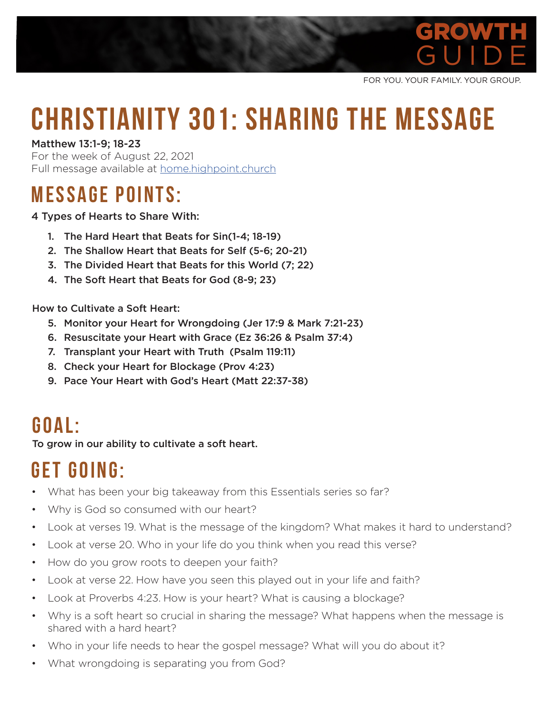

FOR YOU. YOUR FAMILY. YOUR GROUP.

# **Christianity 301: Sharing the Message**

Matthew 13:1-9; 18-23

For the week of August 22, 2021 Full message available at **home.highpoint.church** 

### **MESSAGE POINTS:**

4 Types of Hearts to Share With:

- 1. The Hard Heart that Beats for Sin(1-4; 18-19)
- 2. The Shallow Heart that Beats for Self (5-6; 20-21)
- 3. The Divided Heart that Beats for this World (7; 22)
- 4. The Soft Heart that Beats for God (8-9; 23)

How to Cultivate a Soft Heart:

- 5. Monitor your Heart for Wrongdoing (Jer 17:9 & Mark 7:21-23)
- 6. Resuscitate your Heart with Grace (Ez 36:26 & Psalm 37:4)
- 7. Transplant your Heart with Truth (Psalm 119:11)
- 8. Check your Heart for Blockage (Prov 4:23)
- 9. Pace Your Heart with God's Heart (Matt 22:37-38)

#### **G o a l :**

To grow in our ability to cultivate a soft heart.

# **GET GOING:**

- What has been your big takeaway from this Essentials series so far?
- Why is God so consumed with our heart?
- Look at verses 19. What is the message of the kingdom? What makes it hard to understand?
- Look at verse 20. Who in your life do you think when you read this verse?
- How do you grow roots to deepen your faith?
- Look at verse 22. How have you seen this played out in your life and faith?
- Look at Proverbs 4:23. How is your heart? What is causing a blockage?
- Why is a soft heart so crucial in sharing the message? What happens when the message is shared with a hard heart?
- Who in your life needs to hear the gospel message? What will you do about it?
- What wrongdoing is separating you from God?